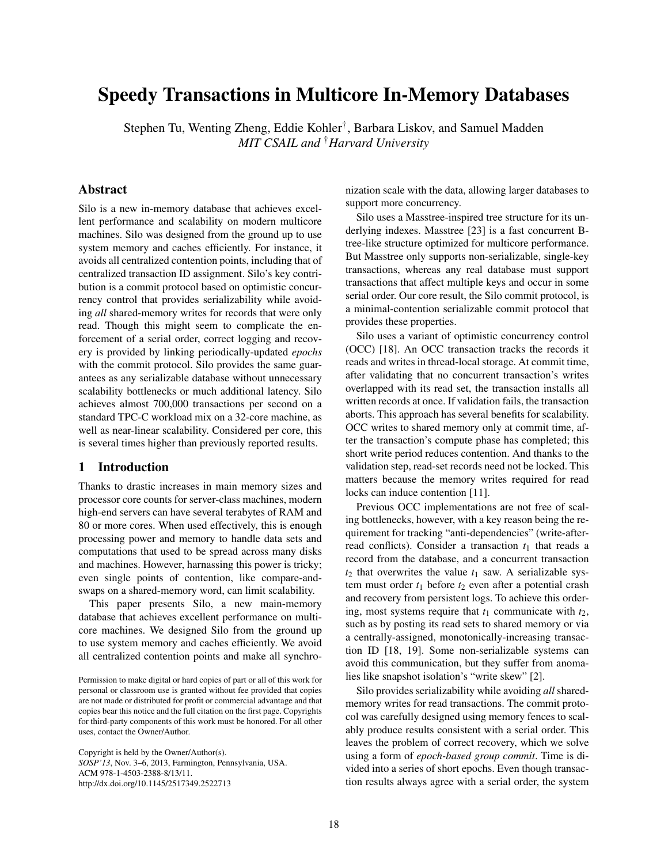# Speedy Transactions in Multicore In-Memory Databases

Stephen Tu, Wenting Zheng, Eddie Kohler† , Barbara Liskov, and Samuel Madden *MIT CSAIL and* †*Harvard University*

## Abstract

Silo is a new in-memory database that achieves excellent performance and scalability on modern multicore machines. Silo was designed from the ground up to use system memory and caches efficiently. For instance, it avoids all centralized contention points, including that of centralized transaction ID assignment. Silo's key contribution is a commit protocol based on optimistic concurrency control that provides serializability while avoiding *all* shared-memory writes for records that were only read. Though this might seem to complicate the enforcement of a serial order, correct logging and recovery is provided by linking periodically-updated *epochs* with the commit protocol. Silo provides the same guarantees as any serializable database without unnecessary scalability bottlenecks or much additional latency. Silo achieves almost 700,000 transactions per second on a standard TPC-C workload mix on a 32-core machine, as well as near-linear scalability. Considered per core, this is several times higher than previously reported results.

# 1 Introduction

Thanks to drastic increases in main memory sizes and processor core counts for server-class machines, modern high-end servers can have several terabytes of RAM and 80 or more cores. When used effectively, this is enough processing power and memory to handle data sets and computations that used to be spread across many disks and machines. However, harnassing this power is tricky; even single points of contention, like compare-andswaps on a shared-memory word, can limit scalability.

This paper presents Silo, a new main-memory database that achieves excellent performance on multicore machines. We designed Silo from the ground up to use system memory and caches efficiently. We avoid all centralized contention points and make all synchro-

Permission to make digital or hard copies of part or all of this work for personal or classroom use is granted without fee provided that copies are not made or distributed for profit or commercial advantage and that copies bear this notice and the full citation on the first page. Copyrights for third-party components of this work must be honored. For all other uses, contact the Owner/Author.

Copyright is held by the Owner/Author(s). *SOSP'13*, Nov. 3–6, 2013, Farmington, Pennsylvania, USA. ACM 978-1-4503-2388-8/13/11. <http://dx.doi.org/10.1145/2517349.2522713>

nization scale with the data, allowing larger databases to support more concurrency.

Silo uses a Masstree-inspired tree structure for its underlying indexes. Masstree [\[23\]](#page-14-0) is a fast concurrent Btree-like structure optimized for multicore performance. But Masstree only supports non-serializable, single-key transactions, whereas any real database must support transactions that affect multiple keys and occur in some serial order. Our core result, the Silo commit protocol, is a minimal-contention serializable commit protocol that provides these properties.

Silo uses a variant of optimistic concurrency control (OCC) [\[18\]](#page-14-1). An OCC transaction tracks the records it reads and writes in thread-local storage. At commit time, after validating that no concurrent transaction's writes overlapped with its read set, the transaction installs all written records at once. If validation fails, the transaction aborts. This approach has several benefits for scalability. OCC writes to shared memory only at commit time, after the transaction's compute phase has completed; this short write period reduces contention. And thanks to the validation step, read-set records need not be locked. This matters because the memory writes required for read locks can induce contention [\[11\]](#page-14-2).

Previous OCC implementations are not free of scaling bottlenecks, however, with a key reason being the requirement for tracking "anti-dependencies" (write-afterread conflicts). Consider a transaction  $t_1$  that reads a record from the database, and a concurrent transaction  $t_2$  that overwrites the value  $t_1$  saw. A serializable system must order  $t_1$  before  $t_2$  even after a potential crash and recovery from persistent logs. To achieve this ordering, most systems require that  $t_1$  communicate with  $t_2$ , such as by posting its read sets to shared memory or via a centrally-assigned, monotonically-increasing transaction ID [\[18,](#page-14-1) [19\]](#page-14-3). Some non-serializable systems can avoid this communication, but they suffer from anomalies like snapshot isolation's "write skew" [\[2\]](#page-13-0).

Silo provides serializability while avoiding *all* sharedmemory writes for read transactions. The commit protocol was carefully designed using memory fences to scalably produce results consistent with a serial order. This leaves the problem of correct recovery, which we solve using a form of *epoch-based group commit*. Time is divided into a series of short epochs. Even though transaction results always agree with a serial order, the system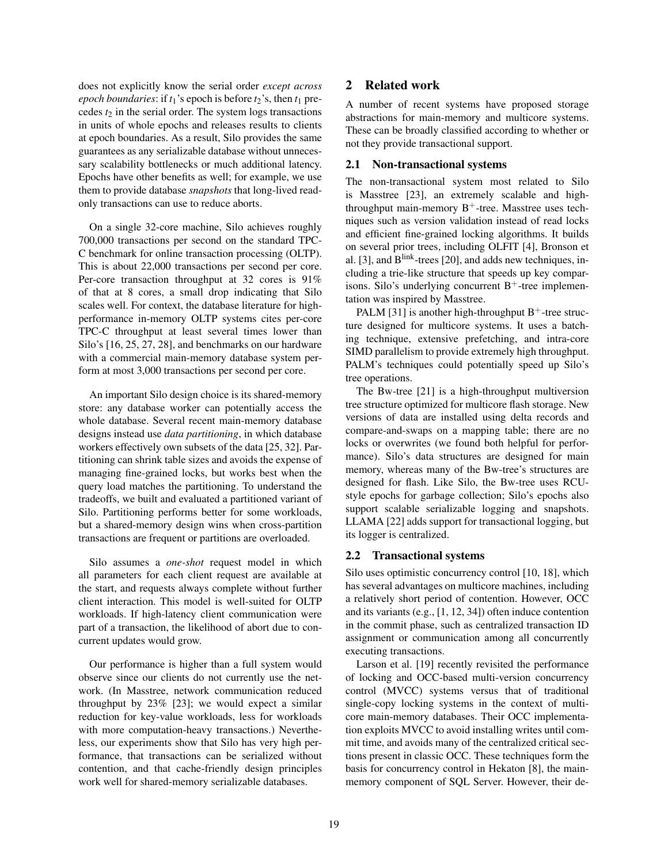does not explicitly know the serial order *except across epoch boundaries*: if  $t_1$ 's epoch is before  $t_2$ 's, then  $t_1$  precedes  $t_2$  in the serial order. The system logs transactions in units of whole epochs and releases results to clients at epoch boundaries. As a result, Silo provides the same guarantees as any serializable database without unnecessary scalability bottlenecks or much additional latency. Epochs have other benefits as well; for example, we use them to provide database *snapshots* that long-lived readonly transactions can use to reduce aborts.

On a single 32-core machine, Silo achieves roughly 700,000 transactions per second on the standard TPC-C benchmark for online transaction processing (OLTP). This is about 22,000 transactions per second per core. Per-core transaction throughput at 32 cores is 91% of that at 8 cores, a small drop indicating that Silo scales well. For context, the database literature for highperformance in-memory OLTP systems cites per-core TPC-C throughput at least several times lower than Silo's [\[16,](#page-14-4) [25,](#page-14-5) [27,](#page-14-6) [28\]](#page-14-7), and benchmarks on our hardware with a commercial main-memory database system perform at most 3,000 transactions per second per core.

An important Silo design choice is its shared-memory store: any database worker can potentially access the whole database. Several recent main-memory database designs instead use *data partitioning*, in which database workers effectively own subsets of the data [\[25,](#page-14-5) [32\]](#page-14-8). Partitioning can shrink table sizes and avoids the expense of managing fine-grained locks, but works best when the query load matches the partitioning. To understand the tradeoffs, we built and evaluated a partitioned variant of Silo. Partitioning performs better for some workloads, but a shared-memory design wins when cross-partition transactions are frequent or partitions are overloaded.

Silo assumes a *one-shot* request model in which all parameters for each client request are available at the start, and requests always complete without further client interaction. This model is well-suited for OLTP workloads. If high-latency client communication were part of a transaction, the likelihood of abort due to concurrent updates would grow.

Our performance is higher than a full system would observe since our clients do not currently use the network. (In Masstree, network communication reduced throughput by 23% [\[23\]](#page-14-0); we would expect a similar reduction for key-value workloads, less for workloads with more computation-heavy transactions.) Nevertheless, our experiments show that Silo has very high performance, that transactions can be serialized without contention, and that cache-friendly design principles work well for shared-memory serializable databases.

# 2 Related work

A number of recent systems have proposed storage abstractions for main-memory and multicore systems. These can be broadly classified according to whether or not they provide transactional support.

## 2.1 Non-transactional systems

The non-transactional system most related to Silo is Masstree [\[23\]](#page-14-0), an extremely scalable and highthroughput main-memory  $B^+$ -tree. Masstree uses techniques such as version validation instead of read locks and efficient fine-grained locking algorithms. It builds on several prior trees, including OLFIT [\[4\]](#page-14-9), Bronson et al. [\[3\]](#page-13-1), and Blink-trees [\[20\]](#page-14-10), and adds new techniques, including a trie-like structure that speeds up key comparisons. Silo's underlying concurrent  $B^+$ -tree implementation was inspired by Masstree.

PALM [\[31\]](#page-14-11) is another high-throughput  $B^+$ -tree structure designed for multicore systems. It uses a batching technique, extensive prefetching, and intra-core SIMD parallelism to provide extremely high throughput. PALM's techniques could potentially speed up Silo's tree operations.

The Bw-tree [\[21\]](#page-14-12) is a high-throughput multiversion tree structure optimized for multicore flash storage. New versions of data are installed using delta records and compare-and-swaps on a mapping table; there are no locks or overwrites (we found both helpful for performance). Silo's data structures are designed for main memory, whereas many of the Bw-tree's structures are designed for flash. Like Silo, the Bw-tree uses RCUstyle epochs for garbage collection; Silo's epochs also support scalable serializable logging and snapshots. LLAMA [\[22\]](#page-14-13) adds support for transactional logging, but its logger is centralized.

## 2.2 Transactional systems

Silo uses optimistic concurrency control [\[10,](#page-14-14) [18\]](#page-14-1), which has several advantages on multicore machines, including a relatively short period of contention. However, OCC and its variants (e.g., [\[1,](#page-13-2) [12,](#page-14-15) [34\]](#page-14-16)) often induce contention in the commit phase, such as centralized transaction ID assignment or communication among all concurrently executing transactions.

Larson et al. [\[19\]](#page-14-3) recently revisited the performance of locking and OCC-based multi-version concurrency control (MVCC) systems versus that of traditional single-copy locking systems in the context of multicore main-memory databases. Their OCC implementation exploits MVCC to avoid installing writes until commit time, and avoids many of the centralized critical sections present in classic OCC. These techniques form the basis for concurrency control in Hekaton [\[8\]](#page-14-17), the mainmemory component of SQL Server. However, their de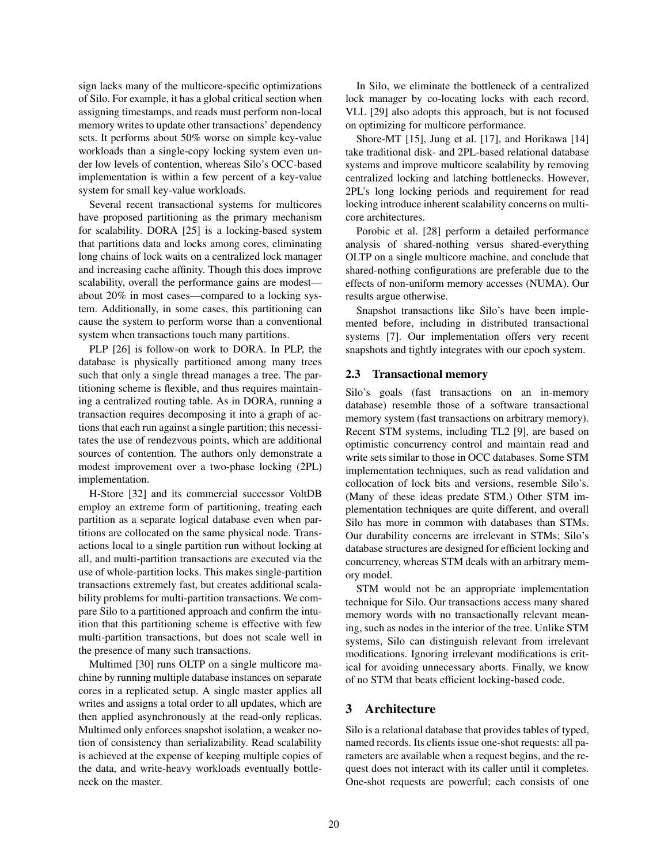sign lacks many of the multicore-specific optimizations of Silo. For example, it has a global critical section when assigning timestamps, and reads must perform non-local memory writes to update other transactions' dependency sets. It performs about 50% worse on simple key-value workloads than a single-copy locking system even under low levels of contention, whereas Silo's OCC-based implementation is within a few percent of a key-value system for small key-value workloads.

Several recent transactional systems for multicores have proposed partitioning as the primary mechanism for scalability. DORA [\[25\]](#page-14-5) is a locking-based system that partitions data and locks among cores, eliminating long chains of lock waits on a centralized lock manager and increasing cache affinity. Though this does improve scalability, overall the performance gains are modest about 20% in most cases—compared to a locking system. Additionally, in some cases, this partitioning can cause the system to perform worse than a conventional system when transactions touch many partitions.

PLP [\[26\]](#page-14-18) is follow-on work to DORA. In PLP, the database is physically partitioned among many trees such that only a single thread manages a tree. The partitioning scheme is flexible, and thus requires maintaining a centralized routing table. As in DORA, running a transaction requires decomposing it into a graph of actions that each run against a single partition; this necessitates the use of rendezvous points, which are additional sources of contention. The authors only demonstrate a modest improvement over a two-phase locking (2PL) implementation.

H-Store [\[32\]](#page-14-8) and its commercial successor VoltDB employ an extreme form of partitioning, treating each partition as a separate logical database even when partitions are collocated on the same physical node. Transactions local to a single partition run without locking at all, and multi-partition transactions are executed via the use of whole-partition locks. This makes single-partition transactions extremely fast, but creates additional scalability problems for multi-partition transactions. We compare Silo to a partitioned approach and confirm the intuition that this partitioning scheme is effective with few multi-partition transactions, but does not scale well in the presence of many such transactions.

Multimed [\[30\]](#page-14-19) runs OLTP on a single multicore machine by running multiple database instances on separate cores in a replicated setup. A single master applies all writes and assigns a total order to all updates, which are then applied asynchronously at the read-only replicas. Multimed only enforces snapshot isolation, a weaker notion of consistency than serializability. Read scalability is achieved at the expense of keeping multiple copies of the data, and write-heavy workloads eventually bottleneck on the master.

In Silo, we eliminate the bottleneck of a centralized lock manager by co-locating locks with each record. VLL [\[29\]](#page-14-20) also adopts this approach, but is not focused on optimizing for multicore performance.

Shore-MT [\[15\]](#page-14-21), Jung et al. [\[17\]](#page-14-22), and Horikawa [\[14\]](#page-14-23) take traditional disk- and 2PL-based relational database systems and improve multicore scalability by removing centralized locking and latching bottlenecks. However, 2PL's long locking periods and requirement for read locking introduce inherent scalability concerns on multicore architectures.

Porobic et al. [\[28\]](#page-14-7) perform a detailed performance analysis of shared-nothing versus shared-everything OLTP on a single multicore machine, and conclude that shared-nothing configurations are preferable due to the effects of non-uniform memory accesses (NUMA). Our results argue otherwise.

Snapshot transactions like Silo's have been implemented before, including in distributed transactional systems [\[7\]](#page-14-24). Our implementation offers very recent snapshots and tightly integrates with our epoch system.

#### 2.3 Transactional memory

Silo's goals (fast transactions on an in-memory database) resemble those of a software transactional memory system (fast transactions on arbitrary memory). Recent STM systems, including TL2 [\[9\]](#page-14-25), are based on optimistic concurrency control and maintain read and write sets similar to those in OCC databases. Some STM implementation techniques, such as read validation and collocation of lock bits and versions, resemble Silo's. (Many of these ideas predate STM.) Other STM implementation techniques are quite different, and overall Silo has more in common with databases than STMs. Our durability concerns are irrelevant in STMs; Silo's database structures are designed for efficient locking and concurrency, whereas STM deals with an arbitrary memory model.

STM would not be an appropriate implementation technique for Silo. Our transactions access many shared memory words with no transactionally relevant meaning, such as nodes in the interior of the tree. Unlike STM systems, Silo can distinguish relevant from irrelevant modifications. Ignoring irrelevant modifications is critical for avoiding unnecessary aborts. Finally, we know of no STM that beats efficient locking-based code.

# 3 Architecture

Silo is a relational database that provides tables of typed, named records. Its clients issue one-shot requests: all parameters are available when a request begins, and the request does not interact with its caller until it completes. One-shot requests are powerful; each consists of one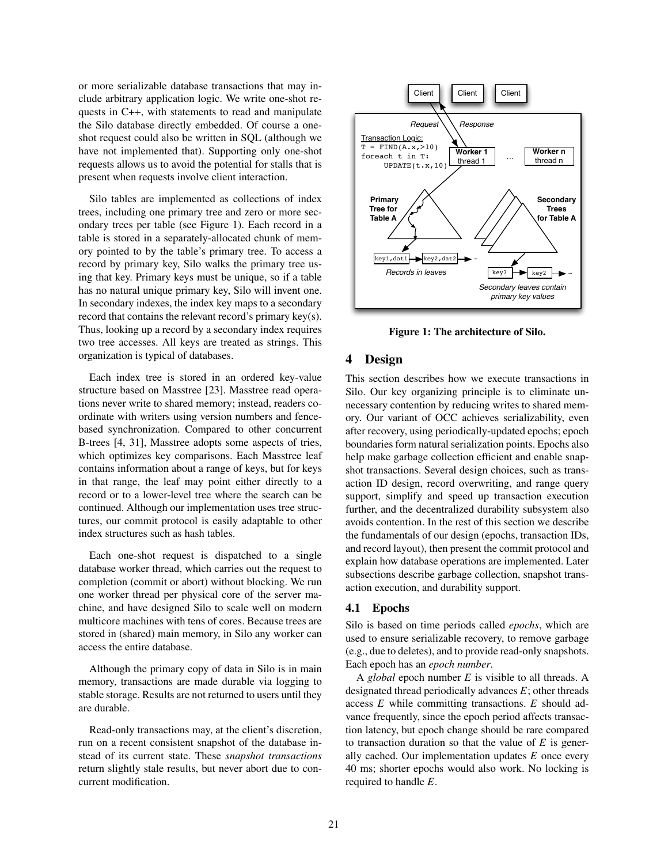or more serializable database transactions that may include arbitrary application logic. We write one-shot requests in C++, with statements to read and manipulate the Silo database directly embedded. Of course a oneshot request could also be written in SQL (although we have not implemented that). Supporting only one-shot requests allows us to avoid the potential for stalls that is present when requests involve client interaction.

Silo tables are implemented as collections of index trees, including one primary tree and zero or more secondary trees per table (see Figure [1\)](#page-3-0). Each record in a table is stored in a separately-allocated chunk of memory pointed to by the table's primary tree. To access a record by primary key, Silo walks the primary tree using that key. Primary keys must be unique, so if a table has no natural unique primary key, Silo will invent one. In secondary indexes, the index key maps to a secondary record that contains the relevant record's primary key(s). Thus, looking up a record by a secondary index requires two tree accesses. All keys are treated as strings. This organization is typical of databases.

Each index tree is stored in an ordered key-value structure based on Masstree [\[23\]](#page-14-0). Masstree read operations never write to shared memory; instead, readers coordinate with writers using version numbers and fencebased synchronization. Compared to other concurrent B-trees [\[4,](#page-14-9) [31\]](#page-14-11), Masstree adopts some aspects of tries, which optimizes key comparisons. Each Masstree leaf contains information about a range of keys, but for keys in that range, the leaf may point either directly to a record or to a lower-level tree where the search can be continued. Although our implementation uses tree structures, our commit protocol is easily adaptable to other index structures such as hash tables.

Each one-shot request is dispatched to a single database worker thread, which carries out the request to completion (commit or abort) without blocking. We run one worker thread per physical core of the server machine, and have designed Silo to scale well on modern multicore machines with tens of cores. Because trees are stored in (shared) main memory, in Silo any worker can access the entire database.

Although the primary copy of data in Silo is in main memory, transactions are made durable via logging to stable storage. Results are not returned to users until they are durable.

Read-only transactions may, at the client's discretion, run on a recent consistent snapshot of the database instead of its current state. These *snapshot transactions* return slightly stale results, but never abort due to concurrent modification.

<span id="page-3-0"></span>

Figure 1: The architecture of Silo.

# 4 Design

This section describes how we execute transactions in Silo. Our key organizing principle is to eliminate unnecessary contention by reducing writes to shared memory. Our variant of OCC achieves serializability, even after recovery, using periodically-updated epochs; epoch boundaries form natural serialization points. Epochs also help make garbage collection efficient and enable snapshot transactions. Several design choices, such as transaction ID design, record overwriting, and range query support, simplify and speed up transaction execution further, and the decentralized durability subsystem also avoids contention. In the rest of this section we describe the fundamentals of our design (epochs, transaction IDs, and record layout), then present the commit protocol and explain how database operations are implemented. Later subsections describe garbage collection, snapshot transaction execution, and durability support.

## 4.1 Epochs

Silo is based on time periods called *epochs*, which are used to ensure serializable recovery, to remove garbage (e.g., due to deletes), and to provide read-only snapshots. Each epoch has an *epoch number*.

A *global* epoch number *E* is visible to all threads. A designated thread periodically advances *E*; other threads access *E* while committing transactions. *E* should advance frequently, since the epoch period affects transaction latency, but epoch change should be rare compared to transaction duration so that the value of *E* is generally cached. Our implementation updates *E* once every 40 ms; shorter epochs would also work. No locking is required to handle *E*.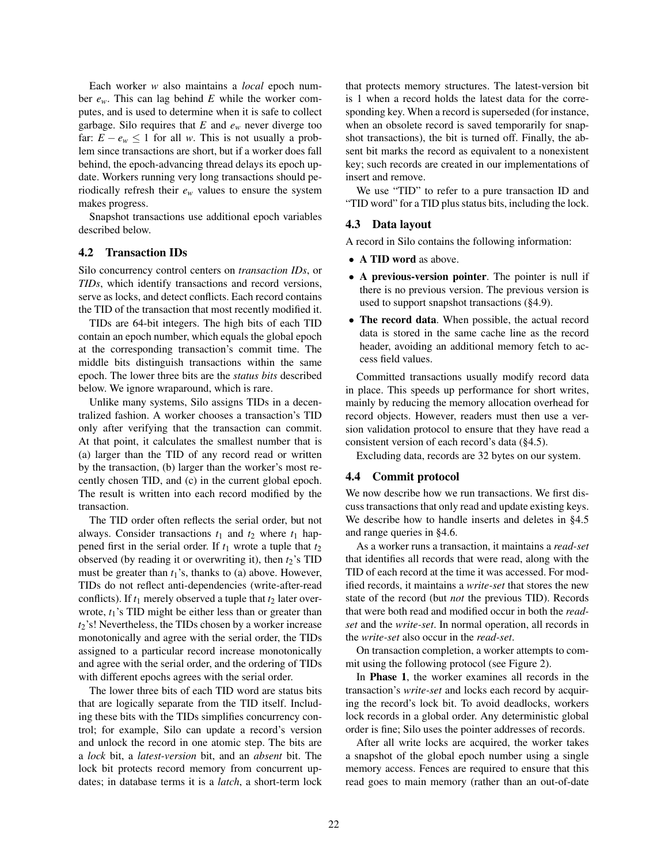Each worker *w* also maintains a *local* epoch number  $e_w$ . This can lag behind  $E$  while the worker computes, and is used to determine when it is safe to collect garbage. Silo requires that  $E$  and  $e_w$  never diverge too far:  $E - e_w \leq 1$  for all *w*. This is not usually a problem since transactions are short, but if a worker does fall behind, the epoch-advancing thread delays its epoch update. Workers running very long transactions should periodically refresh their *e<sup>w</sup>* values to ensure the system makes progress.

Snapshot transactions use additional epoch variables described below.

## <span id="page-4-1"></span>4.2 Transaction IDs

Silo concurrency control centers on *transaction IDs*, or *TIDs*, which identify transactions and record versions, serve as locks, and detect conflicts. Each record contains the TID of the transaction that most recently modified it.

TIDs are 64-bit integers. The high bits of each TID contain an epoch number, which equals the global epoch at the corresponding transaction's commit time. The middle bits distinguish transactions within the same epoch. The lower three bits are the *status bits* described below. We ignore wraparound, which is rare.

<span id="page-4-0"></span>Unlike many systems, Silo assigns TIDs in a decentralized fashion. A worker chooses a transaction's TID only after verifying that the transaction can commit. At that point, it calculates the smallest number that is (a) larger than the TID of any record read or written by the transaction, (b) larger than the worker's most recently chosen TID, and (c) in the current global epoch. The result is written into each record modified by the transaction.

The TID order often reflects the serial order, but not always. Consider transactions  $t_1$  and  $t_2$  where  $t_1$  happened first in the serial order. If  $t_1$  wrote a tuple that  $t_2$ observed (by reading it or overwriting it), then  $t_2$ 's TID must be greater than  $t_1$ 's, thanks to [\(a\)](#page-4-0) above. However, TIDs do not reflect anti-dependencies (write-after-read conflicts). If  $t_1$  merely observed a tuple that  $t_2$  later overwrote,  $t_1$ 's TID might be either less than or greater than *t*2's! Nevertheless, the TIDs chosen by a worker increase monotonically and agree with the serial order, the TIDs assigned to a particular record increase monotonically and agree with the serial order, and the ordering of TIDs with different epochs agrees with the serial order.

The lower three bits of each TID word are status bits that are logically separate from the TID itself. Including these bits with the TIDs simplifies concurrency control; for example, Silo can update a record's version and unlock the record in one atomic step. The bits are a *lock* bit, a *latest-version* bit, and an *absent* bit. The lock bit protects record memory from concurrent updates; in database terms it is a *latch*, a short-term lock that protects memory structures. The latest-version bit is 1 when a record holds the latest data for the corresponding key. When a record is superseded (for instance, when an obsolete record is saved temporarily for snapshot transactions), the bit is turned off. Finally, the absent bit marks the record as equivalent to a nonexistent key; such records are created in our implementations of insert and remove.

We use "TID" to refer to a pure transaction ID and "TID word" for a TID plus status bits, including the lock.

# 4.3 Data layout

A record in Silo contains the following information:

- A TID word as above.
- A previous-version pointer. The pointer is null if there is no previous version. The previous version is used to support snapshot transactions ([§4.9\)](#page-7-0).
- The record data. When possible, the actual record data is stored in the same cache line as the record header, avoiding an additional memory fetch to access field values.

Committed transactions usually modify record data in place. This speeds up performance for short writes, mainly by reducing the memory allocation overhead for record objects. However, readers must then use a version validation protocol to ensure that they have read a consistent version of each record's data ([§4.5\)](#page-6-0).

Excluding data, records are 32 bytes on our system.

#### 4.4 Commit protocol

We now describe how we run transactions. We first discuss transactions that only read and update existing keys. We describe how to handle inserts and deletes in [§4.5](#page-6-0) and range queries in [§4.6.](#page-6-1)

As a worker runs a transaction, it maintains a *read-set* that identifies all records that were read, along with the TID of each record at the time it was accessed. For modified records, it maintains a *write-set* that stores the new state of the record (but *not* the previous TID). Records that were both read and modified occur in both the *readset* and the *write-set*. In normal operation, all records in the *write-set* also occur in the *read-set*.

On transaction completion, a worker attempts to commit using the following protocol (see Figure [2\)](#page-5-0).

In Phase 1, the worker examines all records in the transaction's *write-set* and locks each record by acquiring the record's lock bit. To avoid deadlocks, workers lock records in a global order. Any deterministic global order is fine; Silo uses the pointer addresses of records.

After all write locks are acquired, the worker takes a snapshot of the global epoch number using a single memory access. Fences are required to ensure that this read goes to main memory (rather than an out-of-date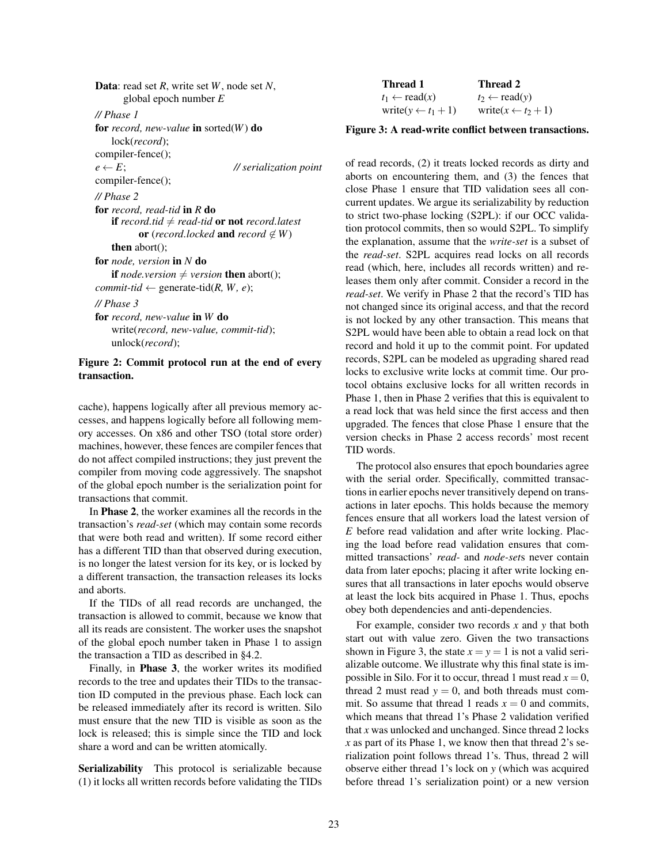```
Data: read set R, write set W, node set N,
      global epoch number E
// Phase 1
for record, new-value in sorted(W) do
   lock(record);
compiler-fence();
e \leftarrow E; // serialization point
compiler-fence();
// Phase 2
for record, read-tid in R do
   if record.tid \neq read-tid or not record.latest
          or (record.locked and record \notin W)
    then abort();
for node, version in N do
    if node.version \neq version then abort();
commit-tid \leftarrow generate-tid(R, W, e);
// Phase 3
for record, new-value in W do
    write(record, new-value, commit-tid);
    unlock(record);
```
#### Figure 2: Commit protocol run at the end of every transaction.

cache), happens logically after all previous memory accesses, and happens logically before all following memory accesses. On x86 and other TSO (total store order) machines, however, these fences are compiler fences that do not affect compiled instructions; they just prevent the compiler from moving code aggressively. The snapshot of the global epoch number is the serialization point for transactions that commit.

In Phase 2, the worker examines all the records in the transaction's *read-set* (which may contain some records that were both read and written). If some record either has a different TID than that observed during execution, is no longer the latest version for its key, or is locked by a different transaction, the transaction releases its locks and aborts.

If the TIDs of all read records are unchanged, the transaction is allowed to commit, because we know that all its reads are consistent. The worker uses the snapshot of the global epoch number taken in Phase 1 to assign the transaction a TID as described in [§4.2.](#page-4-1)

Finally, in Phase 3, the worker writes its modified records to the tree and updates their TIDs to the transaction ID computed in the previous phase. Each lock can be released immediately after its record is written. Silo must ensure that the new TID is visible as soon as the lock is released; this is simple since the TID and lock share a word and can be written atomically.

Serializability This protocol is serializable because (1) it locks all written records before validating the TIDs

<span id="page-5-1"></span>

| Thread 1                        | Thread 2                        |
|---------------------------------|---------------------------------|
| $t_1 \leftarrow \text{read}(x)$ | $t_2 \leftarrow \text{read}(y)$ |
| write( $y \leftarrow t_1 + 1$ ) | write $(x \leftarrow t_2 + 1)$  |

#### Figure 3: A read-write conflict between transactions.

of read records, (2) it treats locked records as dirty and aborts on encountering them, and (3) the fences that close Phase 1 ensure that TID validation sees all concurrent updates. We argue its serializability by reduction to strict two-phase locking (S2PL): if our OCC validation protocol commits, then so would S2PL. To simplify the explanation, assume that the *write-set* is a subset of the *read-set*. S2PL acquires read locks on all records read (which, here, includes all records written) and releases them only after commit. Consider a record in the *read-set*. We verify in Phase 2 that the record's TID has not changed since its original access, and that the record is not locked by any other transaction. This means that S2PL would have been able to obtain a read lock on that record and hold it up to the commit point. For updated records, S2PL can be modeled as upgrading shared read locks to exclusive write locks at commit time. Our protocol obtains exclusive locks for all written records in Phase 1, then in Phase 2 verifies that this is equivalent to a read lock that was held since the first access and then upgraded. The fences that close Phase 1 ensure that the version checks in Phase 2 access records' most recent TID words.

The protocol also ensures that epoch boundaries agree with the serial order. Specifically, committed transactions in earlier epochs never transitively depend on transactions in later epochs. This holds because the memory fences ensure that all workers load the latest version of *E* before read validation and after write locking. Placing the load before read validation ensures that committed transactions' *read-* and *node-set*s never contain data from later epochs; placing it after write locking ensures that all transactions in later epochs would observe at least the lock bits acquired in Phase 1. Thus, epochs obey both dependencies and anti-dependencies.

For example, consider two records *x* and *y* that both start out with value zero. Given the two transactions shown in Figure [3,](#page-5-1) the state  $x = y = 1$  is not a valid serializable outcome. We illustrate why this final state is impossible in Silo. For it to occur, thread 1 must read  $x = 0$ , thread 2 must read  $y = 0$ , and both threads must commit. So assume that thread 1 reads  $x = 0$  and commits, which means that thread 1's Phase 2 validation verified that *x* was unlocked and unchanged. Since thread 2 locks *x* as part of its Phase 1, we know then that thread 2's serialization point follows thread 1's. Thus, thread 2 will observe either thread 1's lock on *y* (which was acquired before thread 1's serialization point) or a new version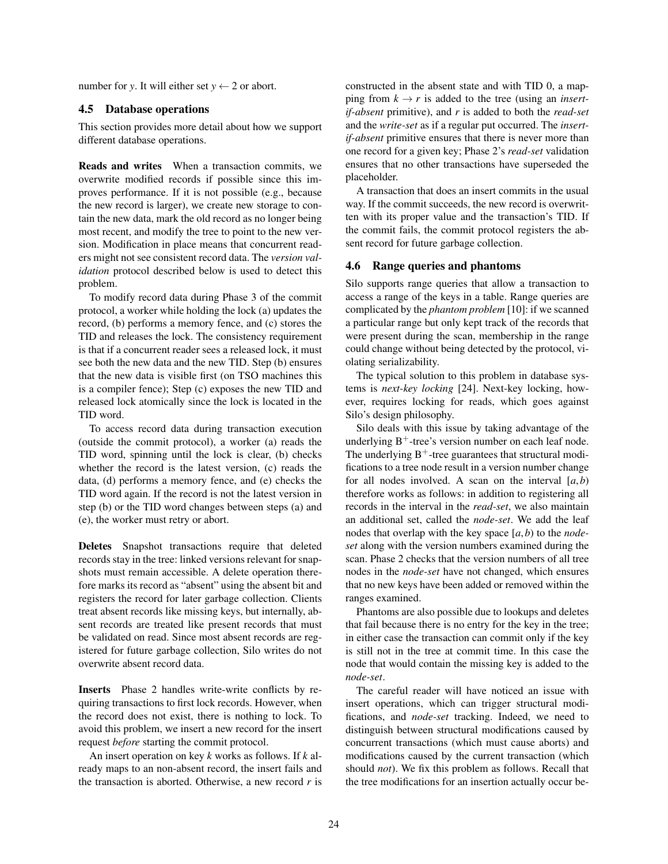number for *y*. It will either set  $y \leftarrow 2$  or abort.

#### <span id="page-6-0"></span>4.5 Database operations

This section provides more detail about how we support different database operations.

Reads and writes When a transaction commits, we overwrite modified records if possible since this improves performance. If it is not possible (e.g., because the new record is larger), we create new storage to contain the new data, mark the old record as no longer being most recent, and modify the tree to point to the new version. Modification in place means that concurrent readers might not see consistent record data. The *version validation* protocol described below is used to detect this problem.

<span id="page-6-2"></span>To modify record data during Phase 3 of the commit protocol, a worker while holding the lock (a) updates the record, (b) performs a memory fence, and (c) stores the TID and releases the lock. The consistency requirement is that if a concurrent reader sees a released lock, it must see both the new data and the new TID. Step [\(b\)](#page-6-2) ensures that the new data is visible first (on TSO machines this is a compiler fence); Step [\(c\)](#page-6-3) exposes the new TID and released lock atomically since the lock is located in the TID word.

To access record data during transaction execution (outside the commit protocol), a worker (a) reads the TID word, spinning until the lock is clear, (b) checks whether the record is the latest version, (c) reads the data, (d) performs a memory fence, and (e) checks the TID word again. If the record is not the latest version in step [\(b\)](#page-6-4) or the TID word changes between steps [\(a\)](#page-6-5) and [\(e\)](#page-6-6), the worker must retry or abort.

Deletes Snapshot transactions require that deleted records stay in the tree: linked versions relevant for snapshots must remain accessible. A delete operation therefore marks its record as "absent" using the absent bit and registers the record for later garbage collection. Clients treat absent records like missing keys, but internally, absent records are treated like present records that must be validated on read. Since most absent records are registered for future garbage collection, Silo writes do not overwrite absent record data.

Inserts Phase 2 handles write-write conflicts by requiring transactions to first lock records. However, when the record does not exist, there is nothing to lock. To avoid this problem, we insert a new record for the insert request *before* starting the commit protocol.

An insert operation on key *k* works as follows. If *k* already maps to an non-absent record, the insert fails and the transaction is aborted. Otherwise, a new record *r* is constructed in the absent state and with TID 0, a mapping from  $k \to r$  is added to the tree (using an *insertif-absent* primitive), and *r* is added to both the *read-set* and the *write-set* as if a regular put occurred. The *insertif-absent* primitive ensures that there is never more than one record for a given key; Phase 2's *read-set* validation ensures that no other transactions have superseded the placeholder.

A transaction that does an insert commits in the usual way. If the commit succeeds, the new record is overwritten with its proper value and the transaction's TID. If the commit fails, the commit protocol registers the absent record for future garbage collection.

#### <span id="page-6-1"></span>4.6 Range queries and phantoms

<span id="page-6-3"></span>Silo supports range queries that allow a transaction to access a range of the keys in a table. Range queries are complicated by the *phantom problem* [\[10\]](#page-14-14): if we scanned a particular range but only kept track of the records that were present during the scan, membership in the range could change without being detected by the protocol, violating serializability.

The typical solution to this problem in database systems is *next-key locking* [\[24\]](#page-14-26). Next-key locking, however, requires locking for reads, which goes against Silo's design philosophy.

<span id="page-6-6"></span><span id="page-6-5"></span><span id="page-6-4"></span>Silo deals with this issue by taking advantage of the underlying  $B^+$ -tree's version number on each leaf node. The underlying  $B^+$ -tree guarantees that structural modifications to a tree node result in a version number change for all nodes involved. A scan on the interval [*a*,*b*) therefore works as follows: in addition to registering all records in the interval in the *read-set*, we also maintain an additional set, called the *node-set*. We add the leaf nodes that overlap with the key space [*a*,*b*) to the *nodeset* along with the version numbers examined during the scan. Phase 2 checks that the version numbers of all tree nodes in the *node-set* have not changed, which ensures that no new keys have been added or removed within the ranges examined.

Phantoms are also possible due to lookups and deletes that fail because there is no entry for the key in the tree; in either case the transaction can commit only if the key is still not in the tree at commit time. In this case the node that would contain the missing key is added to the *node-set*.

The careful reader will have noticed an issue with insert operations, which can trigger structural modifications, and *node-set* tracking. Indeed, we need to distinguish between structural modifications caused by concurrent transactions (which must cause aborts) and modifications caused by the current transaction (which should *not*). We fix this problem as follows. Recall that the tree modifications for an insertion actually occur be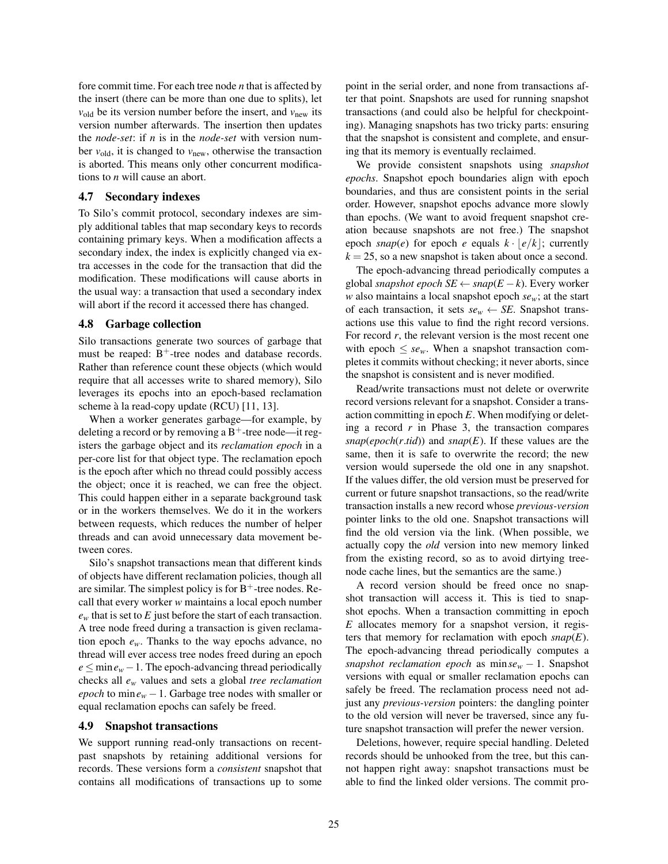fore commit time. For each tree node *n* that is affected by the insert (there can be more than one due to splits), let  $v_{old}$  be its version number before the insert, and  $v_{new}$  its version number afterwards. The insertion then updates the *node-set*: if *n* is in the *node-set* with version number  $v_{old}$ , it is changed to  $v_{new}$ , otherwise the transaction is aborted. This means only other concurrent modifications to *n* will cause an abort.

## 4.7 Secondary indexes

To Silo's commit protocol, secondary indexes are simply additional tables that map secondary keys to records containing primary keys. When a modification affects a secondary index, the index is explicitly changed via extra accesses in the code for the transaction that did the modification. These modifications will cause aborts in the usual way: a transaction that used a secondary index will abort if the record it accessed there has changed.

#### <span id="page-7-1"></span>4.8 Garbage collection

Silo transactions generate two sources of garbage that must be reaped:  $B^+$ -tree nodes and database records. Rather than reference count these objects (which would require that all accesses write to shared memory), Silo leverages its epochs into an epoch-based reclamation scheme à la read-copy update (RCU) [\[11,](#page-14-2) [13\]](#page-14-27).

When a worker generates garbage—for example, by deleting a record or by removing a  $B^+$ -tree node—it registers the garbage object and its *reclamation epoch* in a per-core list for that object type. The reclamation epoch is the epoch after which no thread could possibly access the object; once it is reached, we can free the object. This could happen either in a separate background task or in the workers themselves. We do it in the workers between requests, which reduces the number of helper threads and can avoid unnecessary data movement between cores.

Silo's snapshot transactions mean that different kinds of objects have different reclamation policies, though all are similar. The simplest policy is for  $B^+$ -tree nodes. Recall that every worker *w* maintains a local epoch number  $e_w$  that is set to *E* just before the start of each transaction. A tree node freed during a transaction is given reclamation epoch  $e_w$ . Thanks to the way epochs advance, no thread will ever access tree nodes freed during an epoch *e* ≤ min *e<sub>w</sub>*−1. The epoch-advancing thread periodically checks all *e<sup>w</sup>* values and sets a global *tree reclamation epoch* to min $e_w - 1$ . Garbage tree nodes with smaller or equal reclamation epochs can safely be freed.

## <span id="page-7-0"></span>4.9 Snapshot transactions

We support running read-only transactions on recentpast snapshots by retaining additional versions for records. These versions form a *consistent* snapshot that contains all modifications of transactions up to some point in the serial order, and none from transactions after that point. Snapshots are used for running snapshot transactions (and could also be helpful for checkpointing). Managing snapshots has two tricky parts: ensuring that the snapshot is consistent and complete, and ensuring that its memory is eventually reclaimed.

We provide consistent snapshots using *snapshot epochs*. Snapshot epoch boundaries align with epoch boundaries, and thus are consistent points in the serial order. However, snapshot epochs advance more slowly than epochs. (We want to avoid frequent snapshot creation because snapshots are not free.) The snapshot epoch *snap*(*e*) for epoch *e* equals  $k \cdot |e/k|$ ; currently  $k = 25$ , so a new snapshot is taken about once a second.

The epoch-advancing thread periodically computes a global *snapshot epoch SE* ← *snap*(*E* −*k*). Every worker *w* also maintains a local snapshot epoch *sew*; at the start of each transaction, it sets  $se_w \leftarrow SE$ . Snapshot transactions use this value to find the right record versions. For record *r*, the relevant version is the most recent one with epoch  $\leq$  *se<sub>w</sub>*. When a snapshot transaction completes it commits without checking; it never aborts, since the snapshot is consistent and is never modified.

Read/write transactions must not delete or overwrite record versions relevant for a snapshot. Consider a transaction committing in epoch *E*. When modifying or deleting a record  $r$  in Phase 3, the transaction compares  $snap(epoch(r.tid))$  and  $snap(E)$ . If these values are the same, then it is safe to overwrite the record; the new version would supersede the old one in any snapshot. If the values differ, the old version must be preserved for current or future snapshot transactions, so the read/write transaction installs a new record whose *previous-version* pointer links to the old one. Snapshot transactions will find the old version via the link. (When possible, we actually copy the *old* version into new memory linked from the existing record, so as to avoid dirtying treenode cache lines, but the semantics are the same.)

A record version should be freed once no snapshot transaction will access it. This is tied to snapshot epochs. When a transaction committing in epoch *E* allocates memory for a snapshot version, it registers that memory for reclamation with epoch *snap*(*E*). The epoch-advancing thread periodically computes a *snapshot reclamation epoch* as  $\min s e_w - 1$ . Snapshot versions with equal or smaller reclamation epochs can safely be freed. The reclamation process need not adjust any *previous-version* pointers: the dangling pointer to the old version will never be traversed, since any future snapshot transaction will prefer the newer version.

Deletions, however, require special handling. Deleted records should be unhooked from the tree, but this cannot happen right away: snapshot transactions must be able to find the linked older versions. The commit pro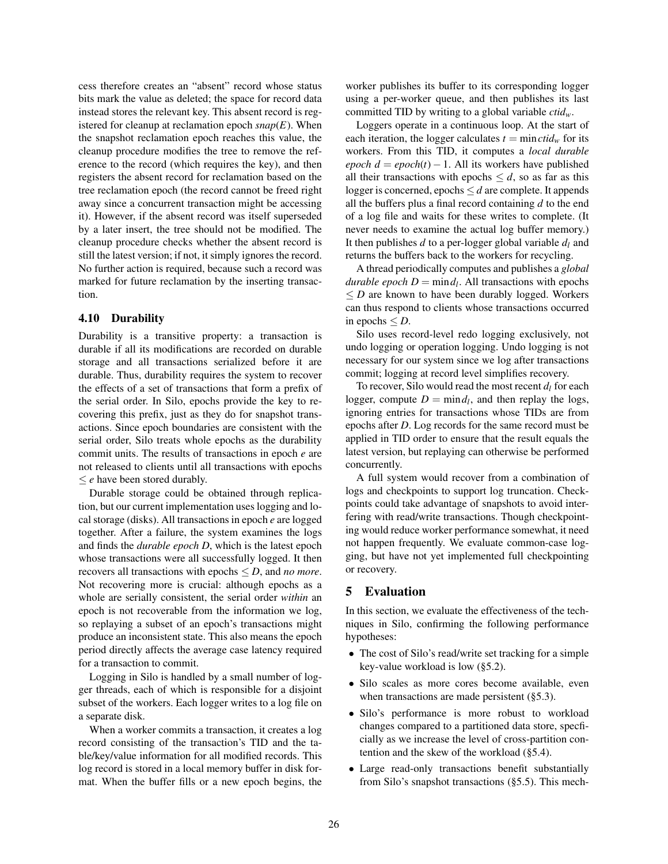cess therefore creates an "absent" record whose status bits mark the value as deleted; the space for record data instead stores the relevant key. This absent record is registered for cleanup at reclamation epoch *snap*(*E*). When the snapshot reclamation epoch reaches this value, the cleanup procedure modifies the tree to remove the reference to the record (which requires the key), and then registers the absent record for reclamation based on the tree reclamation epoch (the record cannot be freed right away since a concurrent transaction might be accessing it). However, if the absent record was itself superseded by a later insert, the tree should not be modified. The cleanup procedure checks whether the absent record is still the latest version; if not, it simply ignores the record. No further action is required, because such a record was marked for future reclamation by the inserting transaction.

## 4.10 Durability

Durability is a transitive property: a transaction is durable if all its modifications are recorded on durable storage and all transactions serialized before it are durable. Thus, durability requires the system to recover the effects of a set of transactions that form a prefix of the serial order. In Silo, epochs provide the key to recovering this prefix, just as they do for snapshot transactions. Since epoch boundaries are consistent with the serial order, Silo treats whole epochs as the durability commit units. The results of transactions in epoch *e* are not released to clients until all transactions with epochs  $\leq e$  have been stored durably.

Durable storage could be obtained through replication, but our current implementation uses logging and local storage (disks). All transactions in epoch *e* are logged together. After a failure, the system examines the logs and finds the *durable epoch D*, which is the latest epoch whose transactions were all successfully logged. It then recovers all transactions with epochs  $\leq D$ , and *no more*. Not recovering more is crucial: although epochs as a whole are serially consistent, the serial order *within* an epoch is not recoverable from the information we log, so replaying a subset of an epoch's transactions might produce an inconsistent state. This also means the epoch period directly affects the average case latency required for a transaction to commit.

Logging in Silo is handled by a small number of logger threads, each of which is responsible for a disjoint subset of the workers. Each logger writes to a log file on a separate disk.

When a worker commits a transaction, it creates a log record consisting of the transaction's TID and the table/key/value information for all modified records. This log record is stored in a local memory buffer in disk format. When the buffer fills or a new epoch begins, the

worker publishes its buffer to its corresponding logger using a per-worker queue, and then publishes its last committed TID by writing to a global variable *ctidw*.

Loggers operate in a continuous loop. At the start of each iteration, the logger calculates  $t = \min \left( \frac{di}{w} \right)$  for its workers. From this TID, it computes a *local durable epoch d* =  $epoch(t) - 1$ . All its workers have published all their transactions with epochs  $\leq d$ , so as far as this logger is concerned, epochs  $\leq d$  are complete. It appends all the buffers plus a final record containing *d* to the end of a log file and waits for these writes to complete. (It never needs to examine the actual log buffer memory.) It then publishes  $d$  to a per-logger global variable  $d_l$  and returns the buffers back to the workers for recycling.

A thread periodically computes and publishes a *global durable epoch*  $D = \min d_l$ . All transactions with epochs  $\leq$  *D* are known to have been durably logged. Workers can thus respond to clients whose transactions occurred in epochs  $\leq D$ .

Silo uses record-level redo logging exclusively, not undo logging or operation logging. Undo logging is not necessary for our system since we log after transactions commit; logging at record level simplifies recovery.

To recover, Silo would read the most recent  $d_l$  for each logger, compute  $D = \min d_l$ , and then replay the logs, ignoring entries for transactions whose TIDs are from epochs after *D*. Log records for the same record must be applied in TID order to ensure that the result equals the latest version, but replaying can otherwise be performed concurrently.

A full system would recover from a combination of logs and checkpoints to support log truncation. Checkpoints could take advantage of snapshots to avoid interfering with read/write transactions. Though checkpointing would reduce worker performance somewhat, it need not happen frequently. We evaluate common-case logging, but have not yet implemented full checkpointing or recovery.

## 5 Evaluation

In this section, we evaluate the effectiveness of the techniques in Silo, confirming the following performance hypotheses:

- The cost of Silo's read/write set tracking for a simple key-value workload is low ([§5.2\)](#page-9-0).
- Silo scales as more cores become available, even when transactions are made persistent ([§5.3\)](#page-10-0).
- Silo's performance is more robust to workload changes compared to a partitioned data store, specficially as we increase the level of cross-partition contention and the skew of the workload ([§5.4\)](#page-10-1).
- Large read-only transactions benefit substantially from Silo's snapshot transactions ([§5.5\)](#page-12-0). This mech-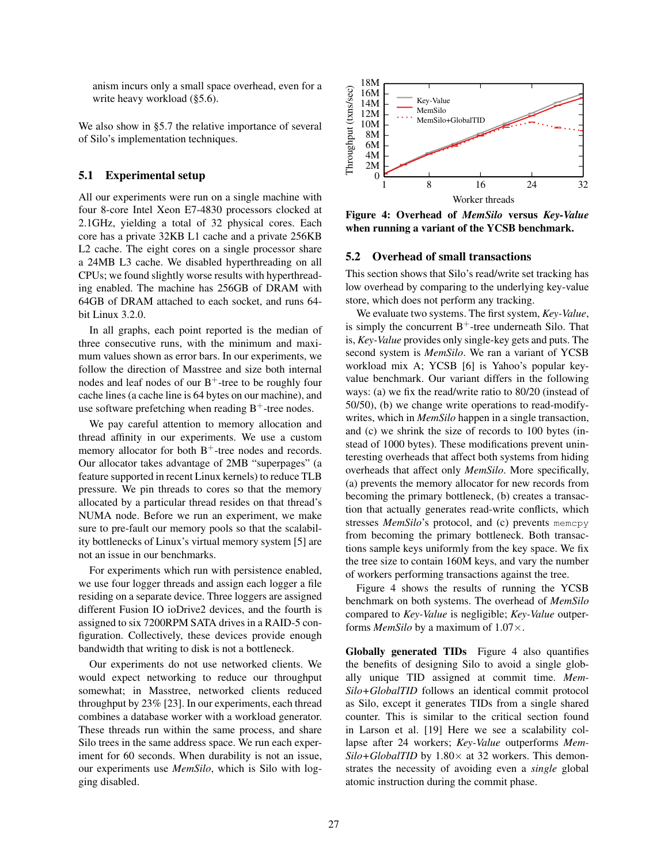anism incurs only a small space overhead, even for a write heavy workload ([§5.6\)](#page-12-1).

We also show in [§5.7](#page-13-3) the relative importance of several of Silo's implementation techniques.

## <span id="page-9-5"></span>5.1 Experimental setup

All our experiments were run on a single machine with four 8-core Intel Xeon E7-4830 processors clocked at 2.1GHz, yielding a total of 32 physical cores. Each core has a private 32KB L1 cache and a private 256KB L<sub>2</sub> cache. The eight cores on a single processor share a 24MB L3 cache. We disabled hyperthreading on all CPUs; we found slightly worse results with hyperthreading enabled. The machine has 256GB of DRAM with 64GB of DRAM attached to each socket, and runs 64 bit Linux 3.2.0.

In all graphs, each point reported is the median of three consecutive runs, with the minimum and maximum values shown as error bars. In our experiments, we follow the direction of Masstree and size both internal nodes and leaf nodes of our  $B^+$ -tree to be roughly four cache lines (a cache line is 64 bytes on our machine), and use software prefetching when reading  $B^+$ -tree nodes.

We pay careful attention to memory allocation and thread affinity in our experiments. We use a custom memory allocator for both  $B^+$ -tree nodes and records. Our allocator takes advantage of 2MB "superpages" (a feature supported in recent Linux kernels) to reduce TLB pressure. We pin threads to cores so that the memory allocated by a particular thread resides on that thread's NUMA node. Before we run an experiment, we make sure to pre-fault our memory pools so that the scalability bottlenecks of Linux's virtual memory system [\[5\]](#page-14-28) are not an issue in our benchmarks.

For experiments which run with persistence enabled, we use four logger threads and assign each logger a file residing on a separate device. Three loggers are assigned different Fusion IO ioDrive2 devices, and the fourth is assigned to six 7200RPM SATA drives in a RAID-5 configuration. Collectively, these devices provide enough bandwidth that writing to disk is not a bottleneck.

Our experiments do not use networked clients. We would expect networking to reduce our throughput somewhat; in Masstree, networked clients reduced throughput by 23% [\[23\]](#page-14-0). In our experiments, each thread combines a database worker with a workload generator. These threads run within the same process, and share Silo trees in the same address space. We run each experiment for 60 seconds. When durability is not an issue, our experiments use *MemSilo*, which is Silo with logging disabled.

<span id="page-9-4"></span>

Figure 4: Overhead of *MemSilo* versus *Key-Value* when running a variant of the YCSB benchmark.

## <span id="page-9-0"></span>5.2 Overhead of small transactions

This section shows that Silo's read/write set tracking has low overhead by comparing to the underlying key-value store, which does not perform any tracking.

<span id="page-9-3"></span><span id="page-9-2"></span><span id="page-9-1"></span>We evaluate two systems. The first system, *Key-Value*, is simply the concurrent  $B^+$ -tree underneath Silo. That is, *Key-Value* provides only single-key gets and puts. The second system is *MemSilo*. We ran a variant of YCSB workload mix A; YCSB [\[6\]](#page-14-29) is Yahoo's popular keyvalue benchmark. Our variant differs in the following ways: (a) we fix the read/write ratio to 80/20 (instead of 50/50), (b) we change write operations to read-modifywrites, which in *MemSilo* happen in a single transaction, and (c) we shrink the size of records to 100 bytes (instead of 1000 bytes). These modifications prevent uninteresting overheads that affect both systems from hiding overheads that affect only *MemSilo*. More specifically, [\(a\)](#page-9-1) prevents the memory allocator for new records from becoming the primary bottleneck, [\(b\)](#page-9-2) creates a transaction that actually generates read-write conflicts, which stresses *MemSilo*'s protocol, and [\(c\)](#page-9-3) prevents memcpy from becoming the primary bottleneck. Both transactions sample keys uniformly from the key space. We fix the tree size to contain 160M keys, and vary the number of workers performing transactions against the tree.

Figure [4](#page-9-4) shows the results of running the YCSB benchmark on both systems. The overhead of *MemSilo* compared to *Key-Value* is negligible; *Key-Value* outperforms *MemSilo* by a maximum of 1.07×.

Globally generated TIDs Figure [4](#page-9-4) also quantifies the benefits of designing Silo to avoid a single globally unique TID assigned at commit time. *Mem-Silo+GlobalTID* follows an identical commit protocol as Silo, except it generates TIDs from a single shared counter. This is similar to the critical section found in Larson et al. [\[19\]](#page-14-3) Here we see a scalability collapse after 24 workers; *Key-Value* outperforms *Mem-* $Silo+GlobalTID$  by  $1.80\times$  at 32 workers. This demonstrates the necessity of avoiding even a *single* global atomic instruction during the commit phase.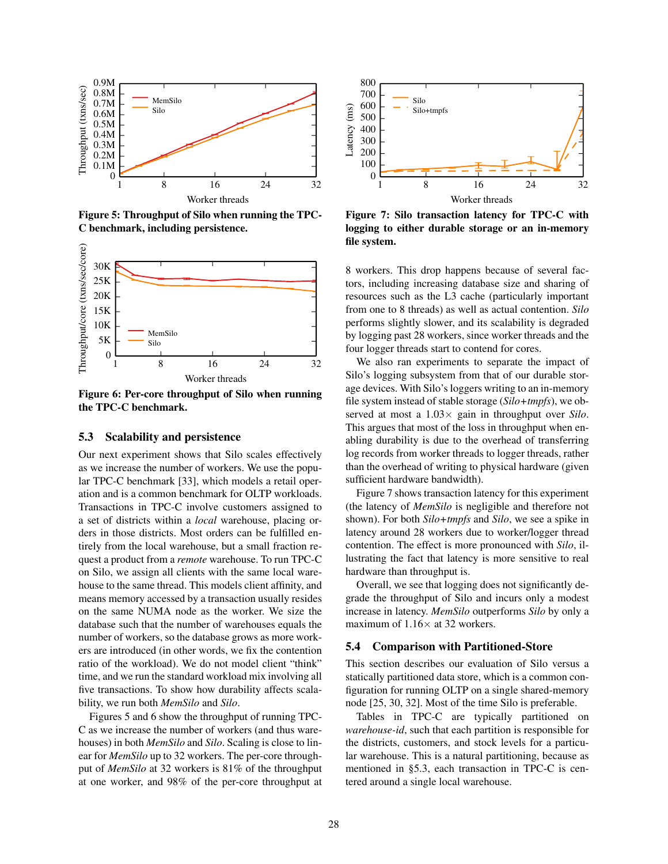<span id="page-10-2"></span>

Figure 5: Throughput of Silo when running the TPC-C benchmark, including persistence.

<span id="page-10-3"></span>

Figure 6: Per-core throughput of Silo when running the TPC-C benchmark.

#### <span id="page-10-0"></span>5.3 Scalability and persistence

Our next experiment shows that Silo scales effectively as we increase the number of workers. We use the popular TPC-C benchmark [\[33\]](#page-14-30), which models a retail operation and is a common benchmark for OLTP workloads. Transactions in TPC-C involve customers assigned to a set of districts within a *local* warehouse, placing orders in those districts. Most orders can be fulfilled entirely from the local warehouse, but a small fraction request a product from a *remote* warehouse. To run TPC-C on Silo, we assign all clients with the same local warehouse to the same thread. This models client affinity, and means memory accessed by a transaction usually resides on the same NUMA node as the worker. We size the database such that the number of warehouses equals the number of workers, so the database grows as more workers are introduced (in other words, we fix the contention ratio of the workload). We do not model client "think" time, and we run the standard workload mix involving all five transactions. To show how durability affects scalability, we run both *MemSilo* and *Silo*.

Figures [5](#page-10-2) and [6](#page-10-3) show the throughput of running TPC-C as we increase the number of workers (and thus warehouses) in both *MemSilo* and *Silo*. Scaling is close to linear for *MemSilo* up to 32 workers. The per-core throughput of *MemSilo* at 32 workers is 81% of the throughput at one worker, and 98% of the per-core throughput at

<span id="page-10-4"></span>

Figure 7: Silo transaction latency for TPC-C with logging to either durable storage or an in-memory file system.

8 workers. This drop happens because of several factors, including increasing database size and sharing of resources such as the L3 cache (particularly important from one to 8 threads) as well as actual contention. *Silo* performs slightly slower, and its scalability is degraded by logging past 28 workers, since worker threads and the four logger threads start to contend for cores.

We also ran experiments to separate the impact of Silo's logging subsystem from that of our durable storage devices. With Silo's loggers writing to an in-memory file system instead of stable storage (*Silo+tmpfs*), we observed at most a 1.03× gain in throughput over *Silo*. This argues that most of the loss in throughput when enabling durability is due to the overhead of transferring log records from worker threads to logger threads, rather than the overhead of writing to physical hardware (given sufficient hardware bandwidth).

Figure [7](#page-10-4) shows transaction latency for this experiment (the latency of *MemSilo* is negligible and therefore not shown). For both *Silo+tmpfs* and *Silo*, we see a spike in latency around 28 workers due to worker/logger thread contention. The effect is more pronounced with *Silo*, illustrating the fact that latency is more sensitive to real hardware than throughput is.

Overall, we see that logging does not significantly degrade the throughput of Silo and incurs only a modest increase in latency. *MemSilo* outperforms *Silo* by only a maximum of  $1.16\times$  at 32 workers.

## <span id="page-10-1"></span>5.4 Comparison with Partitioned-Store

This section describes our evaluation of Silo versus a statically partitioned data store, which is a common configuration for running OLTP on a single shared-memory node [\[25,](#page-14-5) [30,](#page-14-19) [32\]](#page-14-8). Most of the time Silo is preferable.

Tables in TPC-C are typically partitioned on *warehouse-id*, such that each partition is responsible for the districts, customers, and stock levels for a particular warehouse. This is a natural partitioning, because as mentioned in [§5.3,](#page-10-0) each transaction in TPC-C is centered around a single local warehouse.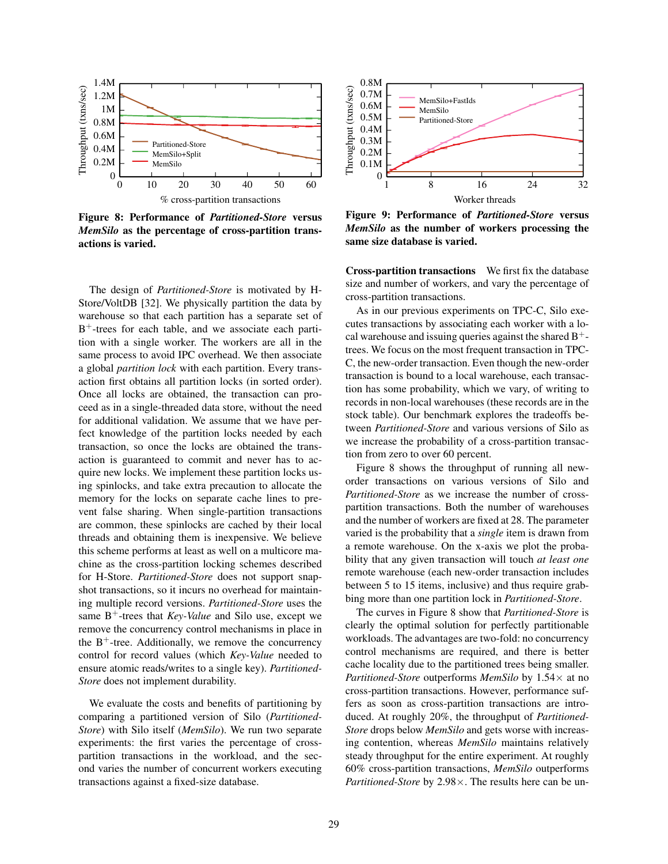<span id="page-11-0"></span>

Figure 8: Performance of *Partitioned-Store* versus *MemSilo* as the percentage of cross-partition transactions is varied.

The design of *Partitioned-Store* is motivated by H-Store/VoltDB [\[32\]](#page-14-8). We physically partition the data by warehouse so that each partition has a separate set of B <sup>+</sup>-trees for each table, and we associate each partition with a single worker. The workers are all in the same process to avoid IPC overhead. We then associate a global *partition lock* with each partition. Every transaction first obtains all partition locks (in sorted order). Once all locks are obtained, the transaction can proceed as in a single-threaded data store, without the need for additional validation. We assume that we have perfect knowledge of the partition locks needed by each transaction, so once the locks are obtained the transaction is guaranteed to commit and never has to acquire new locks. We implement these partition locks using spinlocks, and take extra precaution to allocate the memory for the locks on separate cache lines to prevent false sharing. When single-partition transactions are common, these spinlocks are cached by their local threads and obtaining them is inexpensive. We believe this scheme performs at least as well on a multicore machine as the cross-partition locking schemes described for H-Store. *Partitioned-Store* does not support snapshot transactions, so it incurs no overhead for maintaining multiple record versions. *Partitioned-Store* uses the same B+-trees that *Key-Value* and Silo use, except we remove the concurrency control mechanisms in place in the  $B^+$ -tree. Additionally, we remove the concurrency control for record values (which *Key-Value* needed to ensure atomic reads/writes to a single key). *Partitioned-Store* does not implement durability.

We evaluate the costs and benefits of partitioning by comparing a partitioned version of Silo (*Partitioned-Store*) with Silo itself (*MemSilo*). We run two separate experiments: the first varies the percentage of crosspartition transactions in the workload, and the second varies the number of concurrent workers executing transactions against a fixed-size database.

<span id="page-11-1"></span>

Figure 9: Performance of *Partitioned-Store* versus *MemSilo* as the number of workers processing the same size database is varied.

Cross-partition transactions We first fix the database size and number of workers, and vary the percentage of cross-partition transactions.

As in our previous experiments on TPC-C, Silo executes transactions by associating each worker with a local warehouse and issuing queries against the shared  $B^+$ trees. We focus on the most frequent transaction in TPC-C, the new-order transaction. Even though the new-order transaction is bound to a local warehouse, each transaction has some probability, which we vary, of writing to records in non-local warehouses (these records are in the stock table). Our benchmark explores the tradeoffs between *Partitioned-Store* and various versions of Silo as we increase the probability of a cross-partition transaction from zero to over 60 percent.

Figure [8](#page-11-0) shows the throughput of running all neworder transactions on various versions of Silo and *Partitioned-Store* as we increase the number of crosspartition transactions. Both the number of warehouses and the number of workers are fixed at 28. The parameter varied is the probability that a *single* item is drawn from a remote warehouse. On the x-axis we plot the probability that any given transaction will touch *at least one* remote warehouse (each new-order transaction includes between 5 to 15 items, inclusive) and thus require grabbing more than one partition lock in *Partitioned-Store*.

The curves in Figure [8](#page-11-0) show that *Partitioned-Store* is clearly the optimal solution for perfectly partitionable workloads. The advantages are two-fold: no concurrency control mechanisms are required, and there is better cache locality due to the partitioned trees being smaller. *Partitioned-Store* outperforms *MemSilo* by 1.54× at no cross-partition transactions. However, performance suffers as soon as cross-partition transactions are introduced. At roughly 20%, the throughput of *Partitioned-Store* drops below *MemSilo* and gets worse with increasing contention, whereas *MemSilo* maintains relatively steady throughput for the entire experiment. At roughly 60% cross-partition transactions, *MemSilo* outperforms *Partitioned-Store* by 2.98 $\times$ . The results here can be un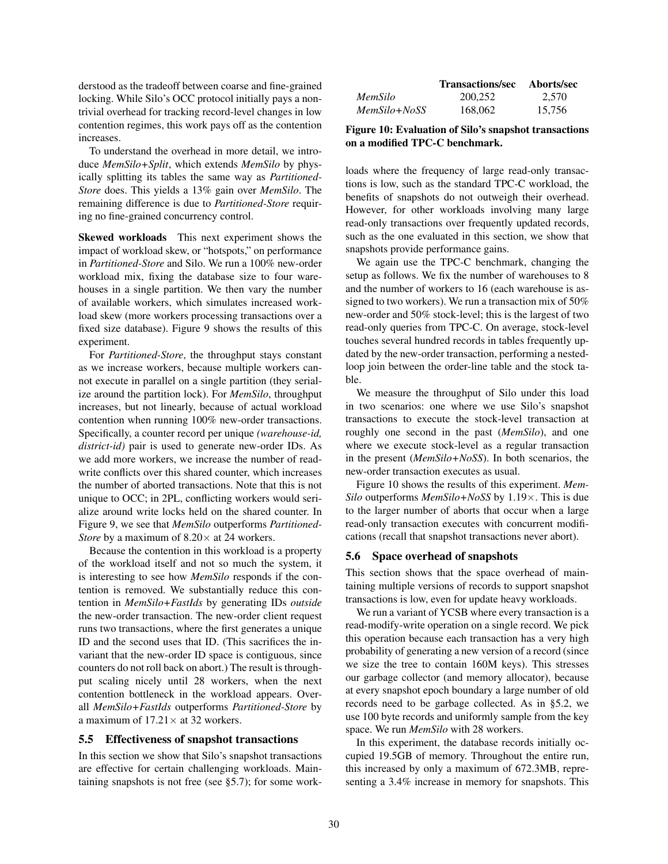derstood as the tradeoff between coarse and fine-grained locking. While Silo's OCC protocol initially pays a nontrivial overhead for tracking record-level changes in low contention regimes, this work pays off as the contention increases.

To understand the overhead in more detail, we introduce *MemSilo+Split*, which extends *MemSilo* by physically splitting its tables the same way as *Partitioned-Store* does. This yields a 13% gain over *MemSilo*. The remaining difference is due to *Partitioned-Store* requiring no fine-grained concurrency control.

Skewed workloads This next experiment shows the impact of workload skew, or "hotspots," on performance in *Partitioned-Store* and Silo. We run a 100% new-order workload mix, fixing the database size to four warehouses in a single partition. We then vary the number of available workers, which simulates increased workload skew (more workers processing transactions over a fixed size database). Figure [9](#page-11-1) shows the results of this experiment.

For *Partitioned-Store*, the throughput stays constant as we increase workers, because multiple workers cannot execute in parallel on a single partition (they serialize around the partition lock). For *MemSilo*, throughput increases, but not linearly, because of actual workload contention when running 100% new-order transactions. Specifically, a counter record per unique *(warehouse-id, district-id)* pair is used to generate new-order IDs. As we add more workers, we increase the number of readwrite conflicts over this shared counter, which increases the number of aborted transactions. Note that this is not unique to OCC; in 2PL, conflicting workers would serialize around write locks held on the shared counter. In Figure [9,](#page-11-1) we see that *MemSilo* outperforms *Partitioned-Store* by a maximum of 8.20 $\times$  at 24 workers.

Because the contention in this workload is a property of the workload itself and not so much the system, it is interesting to see how *MemSilo* responds if the contention is removed. We substantially reduce this contention in *MemSilo+FastIds* by generating IDs *outside* the new-order transaction. The new-order client request runs two transactions, where the first generates a unique ID and the second uses that ID. (This sacrifices the invariant that the new-order ID space is contiguous, since counters do not roll back on abort.) The result is throughput scaling nicely until 28 workers, when the next contention bottleneck in the workload appears. Overall *MemSilo+FastIds* outperforms *Partitioned-Store* by a maximum of  $17.21 \times$  at 32 workers.

#### <span id="page-12-0"></span>5.5 Effectiveness of snapshot transactions

In this section we show that Silo's snapshot transactions are effective for certain challenging workloads. Maintaining snapshots is not free (see [§5.7\)](#page-13-3); for some work-

<span id="page-12-2"></span>

|              | <b>Transactions/sec</b> | Aborts/sec |
|--------------|-------------------------|------------|
| MemSilo      | 200,252                 | 2.570      |
| MemSilo+NoSS | 168,062                 | 15.756     |

## Figure 10: Evaluation of Silo's snapshot transactions on a modified TPC-C benchmark.

loads where the frequency of large read-only transactions is low, such as the standard TPC-C workload, the benefits of snapshots do not outweigh their overhead. However, for other workloads involving many large read-only transactions over frequently updated records, such as the one evaluated in this section, we show that snapshots provide performance gains.

We again use the TPC-C benchmark, changing the setup as follows. We fix the number of warehouses to 8 and the number of workers to 16 (each warehouse is assigned to two workers). We run a transaction mix of 50% new-order and 50% stock-level; this is the largest of two read-only queries from TPC-C. On average, stock-level touches several hundred records in tables frequently updated by the new-order transaction, performing a nestedloop join between the order-line table and the stock table.

We measure the throughput of Silo under this load in two scenarios: one where we use Silo's snapshot transactions to execute the stock-level transaction at roughly one second in the past (*MemSilo*), and one where we execute stock-level as a regular transaction in the present (*MemSilo+NoSS*). In both scenarios, the new-order transaction executes as usual.

Figure [10](#page-12-2) shows the results of this experiment. *Mem-Silo* outperforms *MemSilo+NoSS* by 1.19×. This is due to the larger number of aborts that occur when a large read-only transaction executes with concurrent modifications (recall that snapshot transactions never abort).

## <span id="page-12-1"></span>5.6 Space overhead of snapshots

This section shows that the space overhead of maintaining multiple versions of records to support snapshot transactions is low, even for update heavy workloads.

We run a variant of YCSB where every transaction is a read-modify-write operation on a single record. We pick this operation because each transaction has a very high probability of generating a new version of a record (since we size the tree to contain 160M keys). This stresses our garbage collector (and memory allocator), because at every snapshot epoch boundary a large number of old records need to be garbage collected. As in [§5.2,](#page-9-0) we use 100 byte records and uniformly sample from the key space. We run *MemSilo* with 28 workers.

In this experiment, the database records initially occupied 19.5GB of memory. Throughout the entire run, this increased by only a maximum of 672.3MB, representing a 3.4% increase in memory for snapshots. This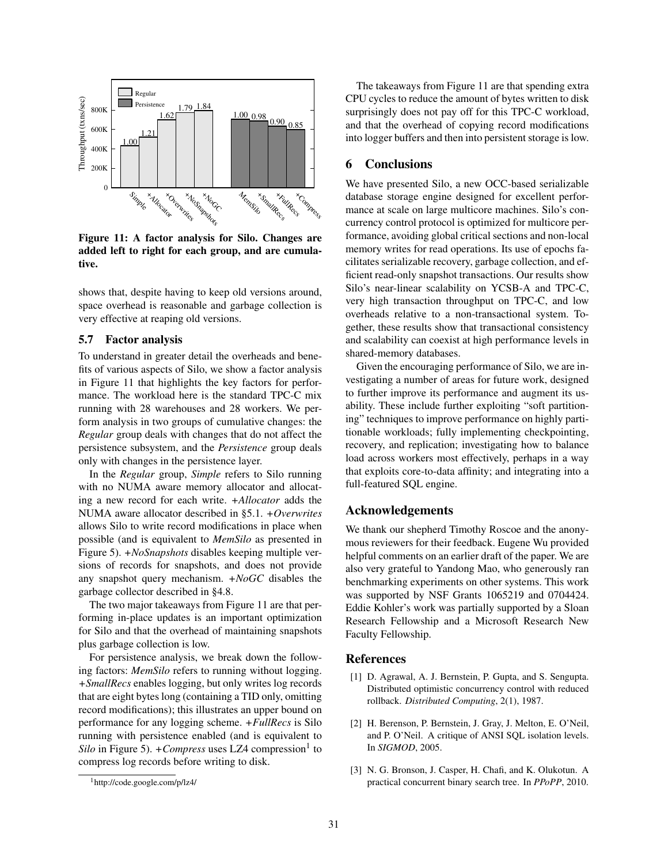<span id="page-13-4"></span>

Figure 11: A factor analysis for Silo. Changes are added left to right for each group, and are cumulative.

shows that, despite having to keep old versions around, space overhead is reasonable and garbage collection is very effective at reaping old versions.

# <span id="page-13-3"></span>5.7 Factor analysis

To understand in greater detail the overheads and benefits of various aspects of Silo, we show a factor analysis in Figure [11](#page-13-4) that highlights the key factors for performance. The workload here is the standard TPC-C mix running with 28 warehouses and 28 workers. We perform analysis in two groups of cumulative changes: the *Regular* group deals with changes that do not affect the persistence subsystem, and the *Persistence* group deals only with changes in the persistence layer.

In the *Regular* group, *Simple* refers to Silo running with no NUMA aware memory allocator and allocating a new record for each write. *+Allocator* adds the NUMA aware allocator described in [§5.1.](#page-9-5) *+Overwrites* allows Silo to write record modifications in place when possible (and is equivalent to *MemSilo* as presented in Figure [5\)](#page-10-2). *+NoSnapshots* disables keeping multiple versions of records for snapshots, and does not provide any snapshot query mechanism. *+NoGC* disables the garbage collector described in [§4.8.](#page-7-1)

The two major takeaways from Figure [11](#page-13-4) are that performing in-place updates is an important optimization for Silo and that the overhead of maintaining snapshots plus garbage collection is low.

For persistence analysis, we break down the following factors: *MemSilo* refers to running without logging. *+SmallRecs* enables logging, but only writes log records that are eight bytes long (containing a TID only, omitting record modifications); this illustrates an upper bound on performance for any logging scheme. *+FullRecs* is Silo running with persistence enabled (and is equivalent to  $\textit{Silo}$  in Figure [5\)](#page-10-2). + *Compress* uses LZ4 compression<sup>[1](#page-13-5)</sup> to compress log records before writing to disk.

The takeaways from Figure [11](#page-13-4) are that spending extra CPU cycles to reduce the amount of bytes written to disk surprisingly does not pay off for this TPC-C workload, and that the overhead of copying record modifications into logger buffers and then into persistent storage is low.

# 6 Conclusions

We have presented Silo, a new OCC-based serializable database storage engine designed for excellent performance at scale on large multicore machines. Silo's concurrency control protocol is optimized for multicore performance, avoiding global critical sections and non-local memory writes for read operations. Its use of epochs facilitates serializable recovery, garbage collection, and efficient read-only snapshot transactions. Our results show Silo's near-linear scalability on YCSB-A and TPC-C, very high transaction throughput on TPC-C, and low overheads relative to a non-transactional system. Together, these results show that transactional consistency and scalability can coexist at high performance levels in shared-memory databases.

Given the encouraging performance of Silo, we are investigating a number of areas for future work, designed to further improve its performance and augment its usability. These include further exploiting "soft partitioning" techniques to improve performance on highly partitionable workloads; fully implementing checkpointing, recovery, and replication; investigating how to balance load across workers most effectively, perhaps in a way that exploits core-to-data affinity; and integrating into a full-featured SQL engine.

# Acknowledgements

We thank our shepherd Timothy Roscoe and the anonymous reviewers for their feedback. Eugene Wu provided helpful comments on an earlier draft of the paper. We are also very grateful to Yandong Mao, who generously ran benchmarking experiments on other systems. This work was supported by NSF Grants 1065219 and 0704424. Eddie Kohler's work was partially supported by a Sloan Research Fellowship and a Microsoft Research New Faculty Fellowship.

## References

- <span id="page-13-2"></span>[1] D. Agrawal, A. J. Bernstein, P. Gupta, and S. Sengupta. Distributed optimistic concurrency control with reduced rollback. *Distributed Computing*, 2(1), 1987.
- <span id="page-13-0"></span>[2] H. Berenson, P. Bernstein, J. Gray, J. Melton, E. O'Neil, and P. O'Neil. A critique of ANSI SQL isolation levels. In *SIGMOD*, 2005.
- <span id="page-13-1"></span>[3] N. G. Bronson, J. Casper, H. Chafi, and K. Olukotun. A practical concurrent binary search tree. In *PPoPP*, 2010.

<span id="page-13-5"></span><sup>1</sup>http://code.google.com/p/lz4/